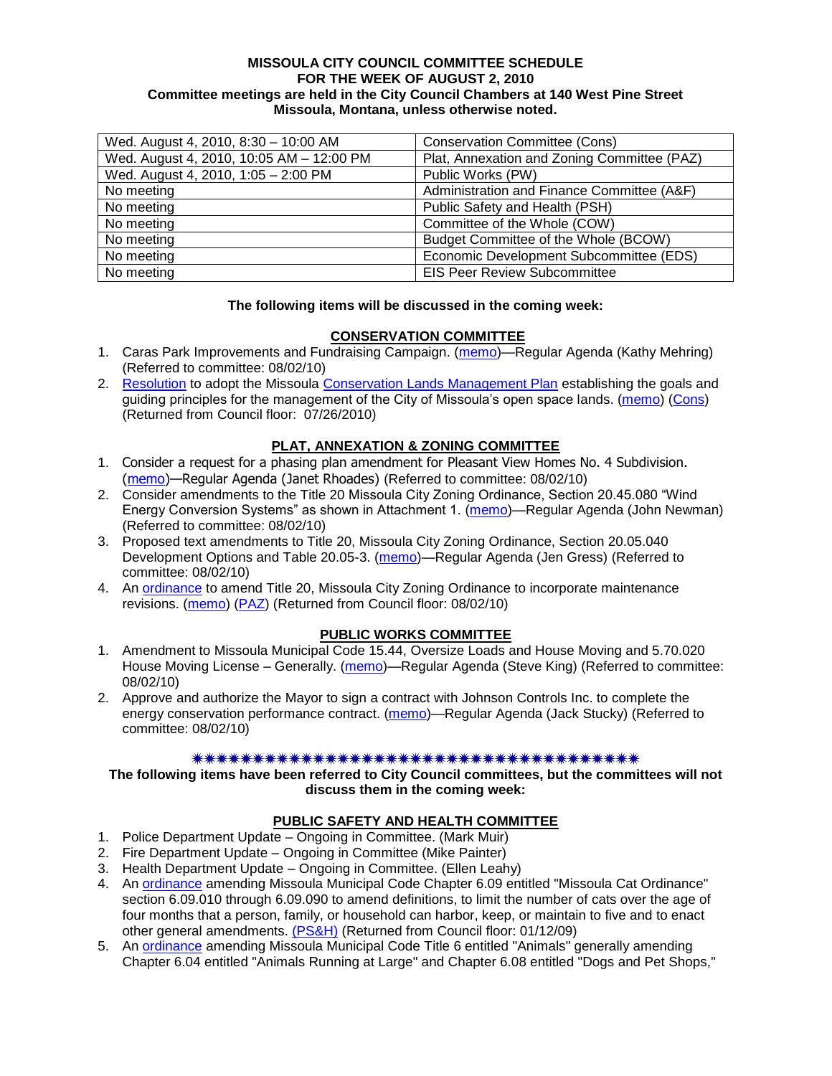#### **MISSOULA CITY COUNCIL COMMITTEE SCHEDULE FOR THE WEEK OF AUGUST 2, 2010 Committee meetings are held in the City Council Chambers at 140 West Pine Street Missoula, Montana, unless otherwise noted.**

| Wed. August 4, 2010, 8:30 - 10:00 AM     | <b>Conservation Committee (Cons)</b>        |
|------------------------------------------|---------------------------------------------|
| Wed. August 4, 2010, 10:05 AM - 12:00 PM | Plat, Annexation and Zoning Committee (PAZ) |
| Wed. August 4, 2010, 1:05 - 2:00 PM      | Public Works (PW)                           |
| No meeting                               | Administration and Finance Committee (A&F)  |
| No meeting                               | Public Safety and Health (PSH)              |
| No meeting                               | Committee of the Whole (COW)                |
| No meeting                               | Budget Committee of the Whole (BCOW)        |
| No meeting                               | Economic Development Subcommittee (EDS)     |
| No meeting                               | <b>EIS Peer Review Subcommittee</b>         |

#### **The following items will be discussed in the coming week:**

## **CONSERVATION COMMITTEE**

- 1. Caras Park Improvements and Fundraising Campaign. [\(memo\)](http://www.ci.missoula.mt.us/DocumentView.aspx?DID=4360)—Regular Agenda (Kathy Mehring) (Referred to committee: 08/02/10)
- 2. [Resolution](http://www.ci.missoula.mt.us/DocumentView.aspx?DID=4197) to adopt the Missoula [Conservation Lands Management Plan](http://www.ci.missoula.mt.us/DocumentView.aspx?DID=4174) establishing the goals and guiding principles for the management of the City of Missoula's open space lands. [\(memo\)](http://www.ci.missoula.mt.us/DocumentView.aspx?DID=4166) [\(Cons\)](http://www.ci.missoula.mt.us/Archive.aspx?ADID=2681) (Returned from Council floor: 07/26/2010)

#### **PLAT, ANNEXATION & ZONING COMMITTEE**

- 1. Consider a request for a phasing plan amendment for Pleasant View Homes No. 4 Subdivision. [\(memo\)](http://www.ci.missoula.mt.us/DocumentView.aspx?DID=4373)—Regular Agenda (Janet Rhoades) (Referred to committee: 08/02/10)
- 2. Consider amendments to the Title 20 Missoula City Zoning Ordinance, Section 20.45.080 "Wind Energy Conversion Systems‖ as shown in Attachment 1. [\(memo\)](http://www.ci.missoula.mt.us/DocumentView.aspx?DID=4375)—Regular Agenda (John Newman) (Referred to committee: 08/02/10)
- 3. Proposed text amendments to Title 20, Missoula City Zoning Ordinance, Section 20.05.040 Development Options and Table 20.05-3. [\(memo\)](http://www.ci.missoula.mt.us/DocumentView.aspx?DID=4363)—Regular Agenda (Jen Gress) (Referred to committee: 08/02/10)
- 4. An [ordinance](http://www.ci.missoula.mt.us/DocumentView.aspx?DID=4207) to amend Title 20, Missoula City Zoning Ordinance to incorporate maintenance revisions. [\(memo\)](http://www.ci.missoula.mt.us/DocumentView.aspx?DID=4168) [\(PAZ\)](http://www.ci.missoula.mt.us/Archive.aspx?ADID=2618) (Returned from Council floor: 08/02/10)

## **PUBLIC WORKS COMMITTEE**

- 1. Amendment to Missoula Municipal Code 15.44, Oversize Loads and House Moving and 5.70.020 House Moving License – Generally. [\(memo\)](http://www.ci.missoula.mt.us/DocumentView.aspx?DID=4362)—Regular Agenda (Steve King) (Referred to committee: 08/02/10)
- 2. Approve and authorize the Mayor to sign a contract with Johnson Controls Inc. to complete the energy conservation performance contract. [\(memo\)](http://www.ci.missoula.mt.us/DocumentView.aspx?DID=4369)—Regular Agenda (Jack Stucky) (Referred to committee: 08/02/10)

## 

**The following items have been referred to City Council committees, but the committees will not discuss them in the coming week:**

## **PUBLIC SAFETY AND HEALTH COMMITTEE**

- 1. Police Department Update Ongoing in Committee. (Mark Muir)
- 2. Fire Department Update Ongoing in Committee (Mike Painter)
- 3. Health Department Update Ongoing in Committee. (Ellen Leahy)
- 4. An [ordinance](ftp://ftp.ci.missoula.mt.us/Packets/Council/2008/2008-12-15/2008CatOrdinanceAmendment%5B1%5D.pdf) amending Missoula Municipal Code Chapter 6.09 entitled "Missoula Cat Ordinance" section 6.09.010 through 6.09.090 to amend definitions, to limit the number of cats over the age of four months that a person, family, or household can harbor, keep, or maintain to five and to enact other general amendments. [\(PS&H\)](ftp://ftp.ci.missoula.mt.us/Packets/Council/2008/2008-12-15/081210psh.pdf) (Returned from Council floor: 01/12/09)
- 5. An [ordinance](ftp://ftp.ci.missoula.mt.us/Packets/Council/2008/2008-12-15/DogOrdinance--PSHrevisions.pdf) amending Missoula Municipal Code Title 6 entitled "Animals" generally amending Chapter 6.04 entitled "Animals Running at Large" and Chapter 6.08 entitled "Dogs and Pet Shops,"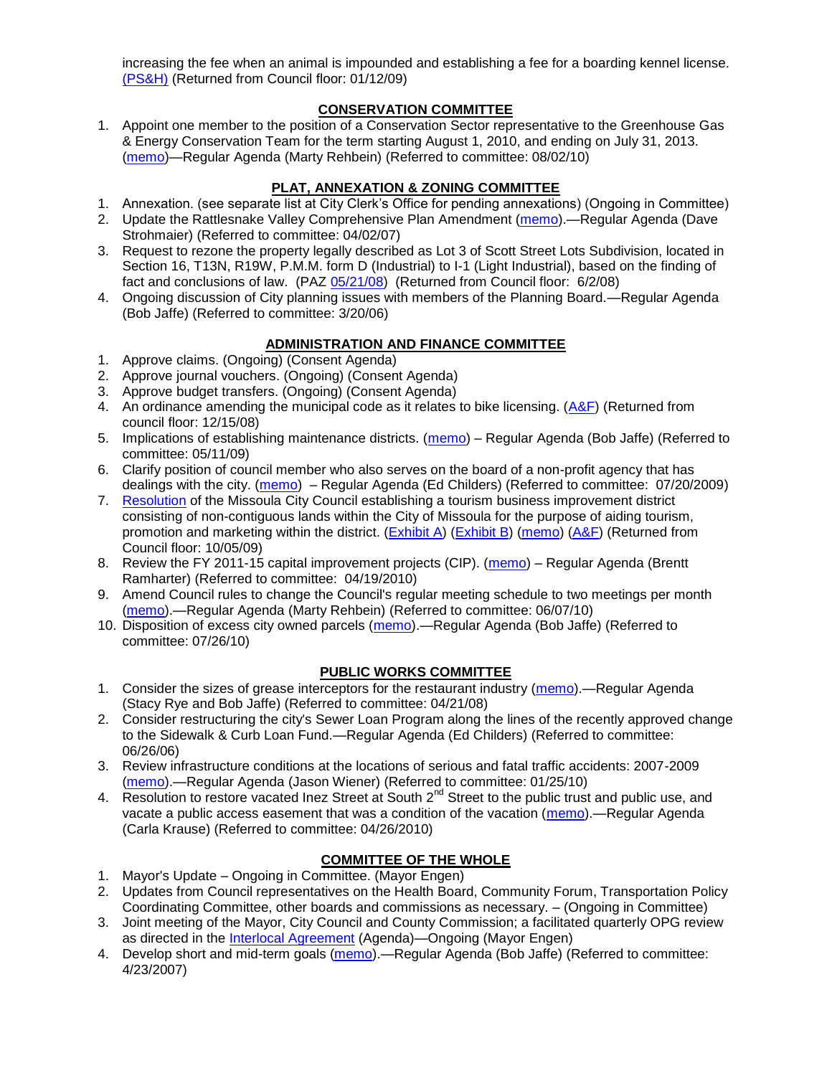increasing the fee when an animal is impounded and establishing a fee for a boarding kennel license. [\(PS&H\)](ftp://ftp.ci.missoula.mt.us/Packets/Council/2008/2008-12-15/081210psh.pdf) (Returned from Council floor: 01/12/09)

## **CONSERVATION COMMITTEE**

1. Appoint one member to the position of a Conservation Sector representative to the Greenhouse Gas & Energy Conservation Team for the term starting August 1, 2010, and ending on July 31, 2013. [\(memo\)](http://www.ci.missoula.mt.us/DocumentView.aspx?DID=4361)—Regular Agenda (Marty Rehbein) (Referred to committee: 08/02/10)

## **PLAT, ANNEXATION & ZONING COMMITTEE**

- 1. Annexation. (see separate list at City Clerk's Office for pending annexations) (Ongoing in Committee)
- 2. Update the Rattlesnake Valley Comprehensive Plan Amendment [\(memo\)](ftp://ftp.ci.missoula.mt.us/Packets/Council/2007/2007-04-02/Referrals/Rattlesnake_Plan_Update_referral.pdf).—Regular Agenda (Dave Strohmaier) (Referred to committee: 04/02/07)
- 3. Request to rezone the property legally described as Lot 3 of Scott Street Lots Subdivision, located in Section 16, T13N, R19W, P.M.M. form D (Industrial) to I-1 (Light Industrial), based on the finding of fact and conclusions of law. (PAZ [05/21/08\)](ftp://ftp.ci.missoula.mt.us/Packets/Council/2008/2008-06-02/080521paz.pdf) (Returned from Council floor: 6/2/08)
- 4. Ongoing discussion of City planning issues with members of the Planning Board.—Regular Agenda (Bob Jaffe) (Referred to committee: 3/20/06)

# **ADMINISTRATION AND FINANCE COMMITTEE**

- 1. Approve claims. (Ongoing) (Consent Agenda)
- 2. Approve journal vouchers. (Ongoing) (Consent Agenda)
- 3. Approve budget transfers. (Ongoing) (Consent Agenda)
- 4. An ordinance amending the municipal code as it relates to bike licensing.  $(A\&F)$  (Returned from council floor: 12/15/08)
- 5. Implications of establishing maintenance districts. [\(memo\)](ftp://ftp.ci.missoula.mt.us/Packets/Council/2009/2009-05-11/Referrals/MaintenanceDistricts.pdf) Regular Agenda (Bob Jaffe) (Referred to committee: 05/11/09)
- 6. Clarify position of council member who also serves on the board of a non-profit agency that has dealings with the city. [\(memo\)](http://www.ci.missoula.mt.us/DocumentView.aspx?DID=1840) – Regular Agenda (Ed Childers) (Referred to committee: 07/20/2009)
- 7. [Resolution](http://www.ci.missoula.mt.us/DocumentView.aspx?DID=2373) of the Missoula City Council establishing a tourism business improvement district consisting of non-contiguous lands within the City of Missoula for the purpose of aiding tourism, promotion and marketing within the district. [\(Exhibit A\)](http://www.ci.missoula.mt.us/DocumentView.aspx?DID=2090) [\(Exhibit B\)](http://www.ci.missoula.mt.us/DocumentView.aspx?DID=2374) [\(memo\)](http://www.ci.missoula.mt.us/DocumentView.aspx?DID=2097) [\(A&F\)](http://www.ci.missoula.mt.us/Archive.aspx?ADID=1172) (Returned from Council floor: 10/05/09)
- 8. Review the FY 2011-15 capital improvement projects (CIP). [\(memo\)](http://www.ci.missoula.mt.us/DocumentView.aspx?DID=3522) Regular Agenda (Brentt Ramharter) (Referred to committee: 04/19/2010)
- 9. Amend Council rules to change the Council's regular meeting schedule to two meetings per month [\(memo\)](http://www.ci.missoula.mt.us/DocumentView.aspx?DID=4027).—Regular Agenda (Marty Rehbein) (Referred to committee: 06/07/10)
- 10. Disposition of excess city owned parcels [\(memo\)](http://www.ci.missoula.mt.us/DocumentView.aspx?DID=4291).—Regular Agenda (Bob Jaffe) (Referred to committee: 07/26/10)

# **PUBLIC WORKS COMMITTEE**

- 1. Consider the sizes of grease interceptors for the restaurant industry [\(memo\)](ftp://ftp.ci.missoula.mt.us/Packets/Council/2008/2008-04-21/Referrals/Industrial_waste_restaurants.pdf).—Regular Agenda (Stacy Rye and Bob Jaffe) (Referred to committee: 04/21/08)
- 2. Consider restructuring the city's Sewer Loan Program along the lines of the recently approved change to the Sidewalk & Curb Loan Fund.—Regular Agenda (Ed Childers) (Referred to committee: 06/26/06)
- 3. Review infrastructure conditions at the locations of serious and fatal traffic accidents: 2007-2009 [\(memo\)](http://www.ci.missoula.mt.us/DocumentView.aspx?DID=3031).—Regular Agenda (Jason Wiener) (Referred to committee: 01/25/10)
- 4. Resolution to restore vacated Inez Street at South 2<sup>nd</sup> Street to the public trust and public use, and vacate a public access easement that was a condition of the vacation [\(memo\)](http://www.ci.missoula.mt.us/DocumentView.aspx?DID=3573).—Regular Agenda (Carla Krause) (Referred to committee: 04/26/2010)

## **COMMITTEE OF THE WHOLE**

- 1. Mayor's Update Ongoing in Committee. (Mayor Engen)
- 2. Updates from Council representatives on the Health Board, Community Forum, Transportation Policy Coordinating Committee, other boards and commissions as necessary. – (Ongoing in Committee)
- 3. Joint meeting of the Mayor, City Council and County Commission; a facilitated quarterly OPG review as directed in the [Interlocal Agreement](ftp://ftp.ci.missoula.mt.us/Documents/Mayor/OPG/Adopted-ILA-2005.pdf) (Agenda)—Ongoing (Mayor Engen)
- 4. Develop short and mid-term goals [\(memo\)](ftp://ftp.ci.missoula.mt.us/Packets/Council/2007/2007-04-23/Referrals/Council_Goals.pdf).—Regular Agenda (Bob Jaffe) (Referred to committee: 4/23/2007)